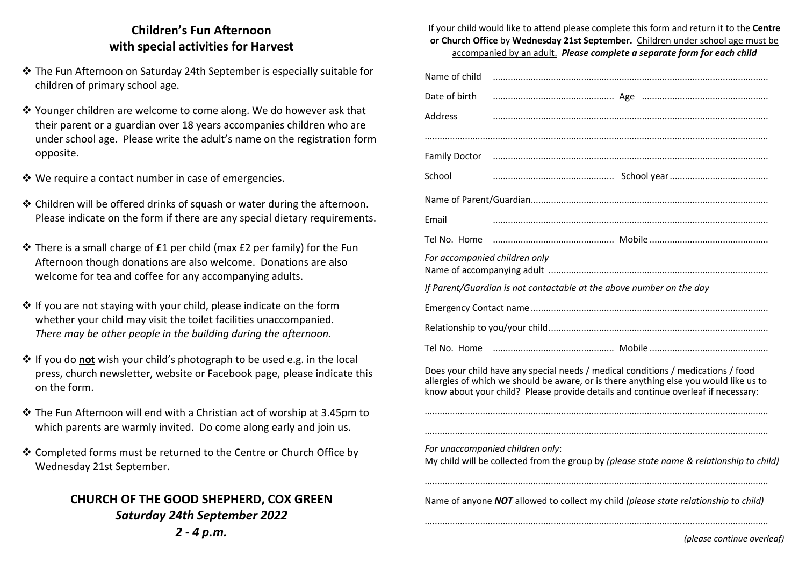## **Children's Fun Afternoon with special activities for Harvest**

- $\div$  The Fun Afternoon on Saturday 24th September is especially suitable for<br>children of primary school ago children of primary school age.
- ◆ Younger children are welcome to come along. We do however ask that their narent or a quardian over 18 years accompanies children who are their parent or a guardian over 18 years accompanies children who are under school age. Please write the adult's name on the registration form opposite.
- $\clubsuit$  We require a contact number in case of emergencies.
- **◆ Children will be offered drinks of squash or water during the afternoon.**<br>Please indicate on the form if there are any special distany requirements Please indicate on the form if there are any special dietary requirements.
- $\div$  There is a small charge of £1 per child (max £2 per family) for the Fun<br>Afternoon though denotions are also welsome. Denotions are also Afternoon though donations are also welcome. Donations are also welcome for tea and coffee for any accompanying adults.
- $\div$  If you are not staying with your child, please indicate on the form<br>whother your child may visit the toilet facilities unassempenied whether your child may visit the toilet facilities unaccompanied. *There may be other people in the building during the afternoon.*
- **External or only wish your child's photograph to be used e.g. in the local<br>The pays church now dotter, website or Fassbook page, places indicate to** press, church newsletter, website or Facebook page, please indicate this on the form.
- $\clubsuit$  The Fun Afternoon will end with a Christian act of worship at 3.45pm to<br>which parents are warmly invited. De some along early and join us which parents are warmly invited. Do come along early and join us.
- ❖ Completed forms must be returned to the Centre or Church Office by<br>Wednesday 21st September Wednesday 21st September.

## **CHURCH OF THE GOOD SHEPHERD, COX GREEN** *Saturday 24th September 20222 - 4 p.m.*

If your child would like to attend please complete this form and return it to the **Centre or Church Office** by **Wednesday 21st September.** Children under school age must be accompanied by an adult. *Please complete a separate form for each child*

| Name of child                 |                                                                                                                                                                                                                                                                |
|-------------------------------|----------------------------------------------------------------------------------------------------------------------------------------------------------------------------------------------------------------------------------------------------------------|
| Date of birth                 |                                                                                                                                                                                                                                                                |
| Address                       |                                                                                                                                                                                                                                                                |
|                               |                                                                                                                                                                                                                                                                |
| <b>Family Doctor</b>          |                                                                                                                                                                                                                                                                |
| School                        |                                                                                                                                                                                                                                                                |
|                               |                                                                                                                                                                                                                                                                |
| Email                         |                                                                                                                                                                                                                                                                |
| Tel No. Home                  |                                                                                                                                                                                                                                                                |
| For accompanied children only |                                                                                                                                                                                                                                                                |
|                               | If Parent/Guardian is not contactable at the above number on the day                                                                                                                                                                                           |
|                               |                                                                                                                                                                                                                                                                |
|                               |                                                                                                                                                                                                                                                                |
| Tel No. Home                  |                                                                                                                                                                                                                                                                |
|                               | Does your child have any special needs / medical conditions / medications / food<br>allergies of which we should be aware, or is there anything else you would like us to<br>know about your child? Please provide details and continue overleaf if necessary: |
|                               | For unaccompanied children only:<br>My child will be collected from the group by (please state name & relationship to child)                                                                                                                                   |
|                               | Name of anyone NOT allowed to collect my child (please state relationship to child)                                                                                                                                                                            |
|                               | (please continue overleaf)                                                                                                                                                                                                                                     |